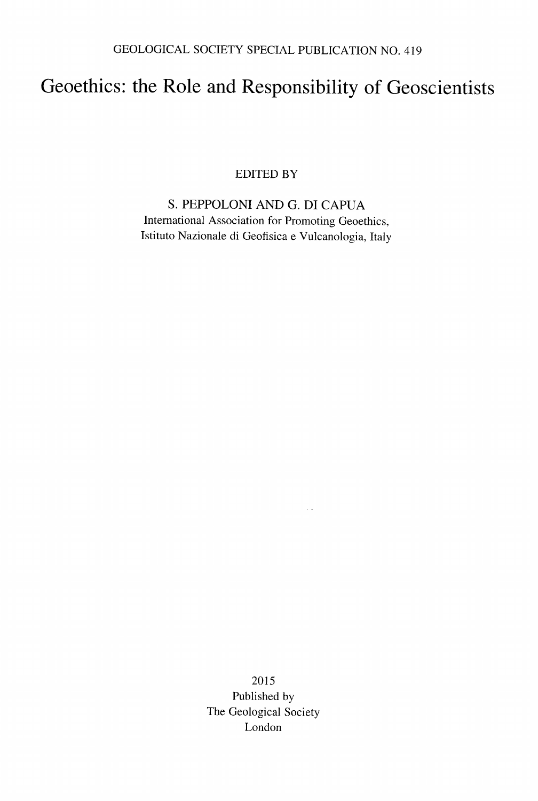## Geoethics: the Role and Responsibility of Geoscientists

EDITED BY

S. PEPPOLONI AND G. DI CAPUA International Association for Promoting Geoethics, Istituto Nazionale di Geofisica e Vulcanologia, Italy

> 2015 Published by The Geological Society London

 $\sim$   $\sim$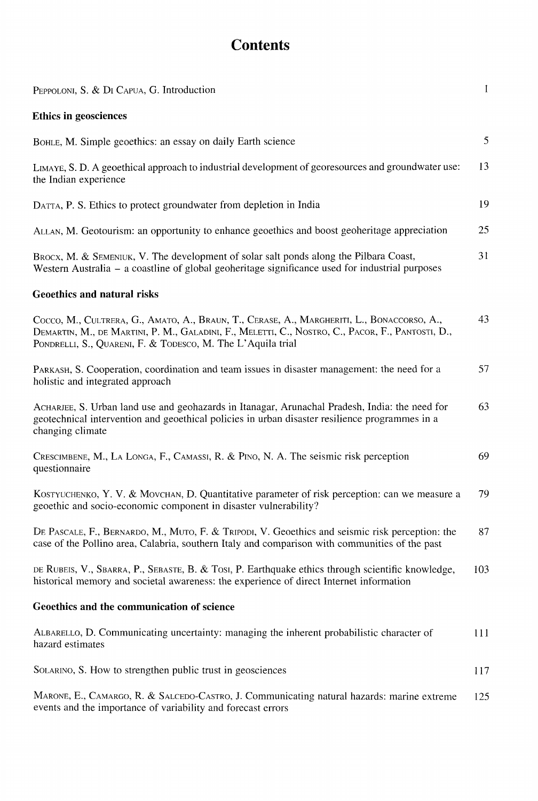## **Contents**

| PEPPOLONI, S. & DI CAPUA, G. Introduction                                                                                                                                                                                                                     | $\mathbf{1}$ |
|---------------------------------------------------------------------------------------------------------------------------------------------------------------------------------------------------------------------------------------------------------------|--------------|
| <b>Ethics in geosciences</b>                                                                                                                                                                                                                                  |              |
| BOHLE, M. Simple geoethics: an essay on daily Earth science                                                                                                                                                                                                   | 5            |
| LIMAYE, S. D. A geoethical approach to industrial development of georesources and groundwater use:<br>the Indian experience                                                                                                                                   | 13           |
| DATTA, P. S. Ethics to protect groundwater from depletion in India                                                                                                                                                                                            | 19           |
| ALLAN, M. Geotourism: an opportunity to enhance geoethics and boost geoheritage appreciation                                                                                                                                                                  | 25           |
| BROCX, M. & SEMENIUK, V. The development of solar salt ponds along the Pilbara Coast,<br>Western Australia – a coastline of global geoheritage significance used for industrial purposes                                                                      | 31           |
| Geoethics and natural risks                                                                                                                                                                                                                                   |              |
| Cocco, M., CULTRERA, G., AMATO, A., BRAUN, T., CERASE, A., MARGHERITI, L., BONACCORSO, A.,<br>DEMARTIN, M., DE MARTINI, P. M., GALADINI, F., MELETTI, C., NOSTRO, C., PACOR, F., PANTOSTI, D.,<br>PONDRELLI, S., QUARENI, F. & TODESCO, M. The L'Aquila trial | 43           |
| PARKASH, S. Cooperation, coordination and team issues in disaster management: the need for a<br>holistic and integrated approach                                                                                                                              | 57           |
| ACHARJEE, S. Urban land use and geohazards in Itanagar, Arunachal Pradesh, India: the need for<br>geotechnical intervention and geoethical policies in urban disaster resilience programmes in a<br>changing climate                                          | 63           |
| CRESCIMBENE, M., LA LONGA, F., CAMASSI, R. & PINO, N. A. The seismic risk perception<br>questionnaire                                                                                                                                                         | 69           |
| KOSTYUCHENKO, Y. V. & MOVCHAN, D. Quantitative parameter of risk perception: can we measure a<br>geoethic and socio-economic component in disaster vulnerability?                                                                                             | 79           |
| DE PASCALE, F., BERNARDO, M., MUTO, F. & TRIPODI, V. Geoethics and seismic risk perception: the<br>case of the Pollino area, Calabria, southern Italy and comparison with communities of the past                                                             | 87           |
| DE RUBEIS, V., SBARRA, P., SEBASTE, B. & TOSI, P. Earthquake ethics through scientific knowledge,<br>historical memory and societal awareness: the experience of direct Internet information                                                                  | 103          |
| Geoethics and the communication of science                                                                                                                                                                                                                    |              |
| ALBARELLO, D. Communicating uncertainty: managing the inherent probabilistic character of<br>hazard estimates                                                                                                                                                 | 111          |
| SOLARINO, S. How to strengthen public trust in geosciences                                                                                                                                                                                                    | 117          |
| MARONE, E., CAMARGO, R. & SALCEDO-CASTRO, J. Communicating natural hazards: marine extreme<br>events and the importance of variability and forecast errors                                                                                                    | 125          |